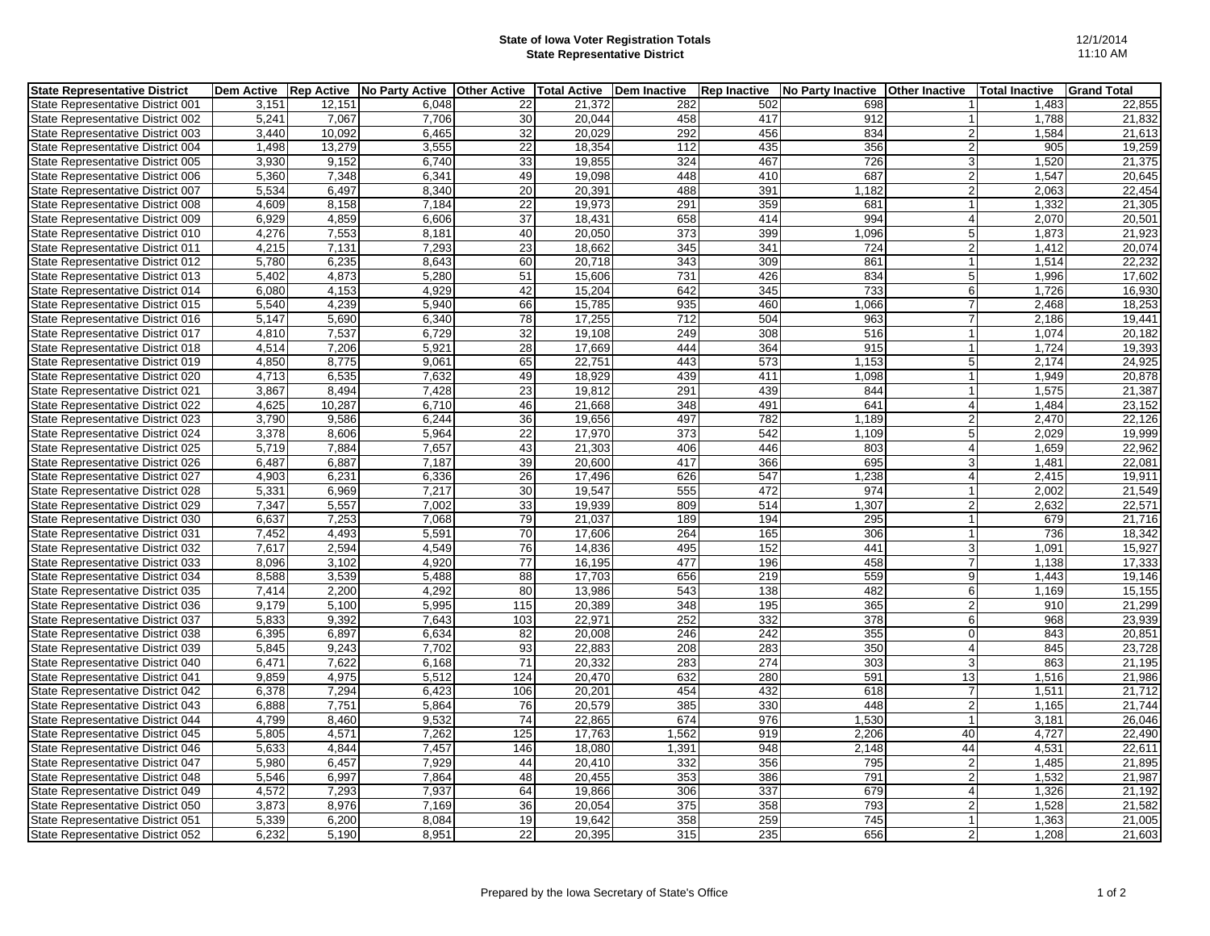## **State of Iowa Voter Registration Totals State Representative District**

| <b>State Representative District</b> | <b>Dem Active</b> | <b>Rep Active</b> | <b>No Party Active</b> | <b>Other Active</b> | <b>Total Active</b> | Dem Inactive     | <b>Rep Inactive</b> | <b>No Party Inactive</b> | <b>Other Inactive</b> | <b>Total Inactive</b> | <b>Grand Total</b> |
|--------------------------------------|-------------------|-------------------|------------------------|---------------------|---------------------|------------------|---------------------|--------------------------|-----------------------|-----------------------|--------------------|
| State Representative District 001    | 3,151             | 12,151            | 6,048                  | 22                  | 21,372              | 282              | 502                 | 698                      |                       | 1,483                 | 22,855             |
| State Representative District 002    | 5,241             | 7,067             | 7.706                  | 30                  | 20.044              | 458              | 417                 | 912                      |                       | 1,788                 | 21,832             |
| State Representative District 003    | 3,440             | 10,092            | 6,465                  | 32                  | 20,029              | 292              | 456                 | 834                      | $\overline{2}$        | 1,584                 | 21,613             |
| State Representative District 004    | 1,498             | 13,279            | 3,555                  | 22                  | 18,354              | 112              | 435                 | 356                      | $\overline{2}$        | 905                   | 19,259             |
| State Representative District 005    | 3,930             | 9,152             | 6,740                  | 33                  | 19,855              | 324              | 467                 | 726                      | 3                     | 1,520                 | 21,375             |
| State Representative District 006    | 5,360             | 7,348             | 6,341                  | 49                  | 19,098              | 448              | 410                 | 687                      | $\overline{2}$        | 1,547                 | 20,645             |
| State Representative District 007    | 5,534             | 6,497             | 8,340                  | 20                  | 20,391              | 488              | 391                 | 1,182                    | $\overline{2}$        | 2,063                 | 22,454             |
| State Representative District 008    | 4,609             | 8,158             | 7,184                  | 22                  | 19,973              | 291              | 359                 | 681                      |                       | 1,332                 | 21,305             |
| State Representative District 009    | 6,929             | 4,859             | 6,606                  | 37                  | 18,431              | 658              | 414                 | 994                      | $\overline{4}$        | 2,070                 | 20,501             |
| State Representative District 010    | 4,276             | 7,553             | 8,181                  | 40                  | 20,050              | $\overline{373}$ | 399                 | 1,096                    | 5                     | 1,873                 | 21,923             |
| State Representative District 011    | 4,215             | 7,131             | 7,293                  | 23                  | 18,662              | 345              | 341                 | 724                      | $\overline{2}$        | 1,412                 | 20,074             |
| State Representative District 012    | 5,780             | 6,235             | 8,643                  | 60                  | 20,718              | 343              | 309                 | 861                      | $\mathbf{1}$          | 1,514                 | 22,232             |
| State Representative District 013    | 5,402             | 4,873             | 5,280                  | 51                  | 15,606              | 731              | 426                 | 834                      | 5                     | 1,996                 | 17,602             |
| State Representative District 014    | 6.080             | 4,153             | 4,929                  | 42                  | 15,204              | 642              | 345                 | 733                      | 6                     | 1,726                 | 16,930             |
| State Representative District 015    | 5,540             | 4,239             | 5,940                  | 66                  | 15,785              | 935              | 460                 | 1,066                    | $\overline{7}$        | 2,468                 | 18,253             |
| State Representative District 016    | 5,147             | 5,690             | 6.340                  | 78                  | 17,255              | 712              | 504                 | 963                      | 7                     | 2,186                 | 19,441             |
| State Representative District 017    | 4,810             | 7,537             | 6,729                  | $\overline{32}$     | 19,108              | 249              | 308                 | 516                      |                       | 1,074                 | 20,182             |
| State Representative District 018    | 4,514             | 7,206             | 5,921                  | $\overline{28}$     | 17,669              | 444              | 364                 | 915                      |                       | 1,724                 | 19,393             |
| State Representative District 019    | 4,850             | 8,775             | 9,061                  | 65                  | 22,751              | 443              | 573                 | 1,153                    | $5\phantom{.0}$       | 2,174                 | 24,925             |
| State Representative District 020    | 4,713             | 6,535             | 7,632                  | 49                  | 18,929              | 439              | 411                 | 1,098                    |                       | 1,949                 | 20,878             |
| State Representative District 021    | 3,867             | 8.494             | 7,428                  | 23                  | 19,812              | 291              | 439                 | 844                      | 1                     | 1,575                 | 21,387             |
| State Representative District 022    | 4,625             | 10,287            | 6,710                  | 46                  | 21,668              | 348              | 491                 | 641                      | $\overline{4}$        | 1,484                 | 23,152             |
| State Representative District 023    | 3,790             | 9,586             | 6,244                  | 36                  | 19,656              | 497              | 782                 | 1,189                    | $\overline{2}$        | 2,470                 | 22,126             |
| State Representative District 024    | 3,378             | 8,606             | 5,964                  | 22                  | 17,970              | 373              | 542                 | 1,109                    | 5                     | 2,029                 | 19,999             |
| State Representative District 025    | 5,719             | 7,884             | 7,657                  | 43                  | 21,303              | 406              | 446                 | 803                      | $\overline{4}$        | 1,659                 | 22,962             |
| State Representative District 026    | 6,487             | 6,887             | 7,187                  | 39                  | 20,600              | 417              | 366                 | 695                      | 3                     | 1,481                 | 22,081             |
| State Representative District 027    | 4,903             | 6,231             | 6,336                  | 26                  | 17,496              | 626              | 547                 | 1,238                    | $\overline{4}$        | 2,415                 | 19,911             |
| State Representative District 028    | 5,331             | 6.969             | 7,217                  | 30                  | 19.547              | 555              | 472                 | 974                      | $\mathbf{1}$          | 2,002                 | 21,549             |
| State Representative District 029    | 7,347             | 5,557             | 7,002                  | 33                  | 19,939              | 809              | 514                 | 1,307                    | $\overline{2}$        | 2,632                 | 22,571             |
| State Representative District 030    | 6,637             | 7,253             | 7,068                  | 79                  | 21,037              | 189              | 194                 | 295                      |                       | 679                   | 21,716             |
| State Representative District 031    | 7,452             | 4,493             | 5,591                  | 70                  | 17,606              | 264              | 165                 | 306                      | $\mathbf{1}$          | 736                   | 18,342             |
| State Representative District 032    | 7,617             | 2,594             | 4,549                  | 76                  | 14,836              | 495              | 152                 | 441                      | 3                     | 1,091                 | 15,927             |
| State Representative District 033    | 8,096             | 3,102             | 4,920                  | 77                  | 16,195              | 477              | 196                 | 458                      | $\overline{7}$        | 1,138                 | 17,333             |
| State Representative District 034    | 8,588             | 3,539             | 5,488                  | 88                  | 17,703              | 656              | 219                 | 559                      | 9                     | 1,443                 | 19,146             |
| State Representative District 035    | 7,414             | 2,200             | 4,292                  | 80                  | 13,986              | 543              | 138                 | 482                      | 6                     | 1,169                 | 15,155             |
| State Representative District 036    | 9,179             | 5,100             | 5,995                  | 115                 | 20,389              | 348              | 195                 | 365                      | $\overline{2}$        | 910                   | 21,299             |
| State Representative District 037    | 5,833             | 9,392             | 7.643                  | 103                 | 22,971              | 252              | 332                 | 378                      | 6                     | 968                   | 23,939             |
| State Representative District 038    | 6,395             | 6,897             | 6,634                  | 82                  | 20,008              | 246              | 242                 | 355                      | $\mathbf 0$           | 843                   | 20,851             |
| State Representative District 039    | 5,845             | 9,243             | 7,702                  | $\overline{93}$     | 22,883              | 208              | 283                 | 350                      | $\overline{4}$        | 845                   | 23,728             |
| State Representative District 040    | 6,471             | 7,622             | 6,168                  | 71                  | 20,332              | 283              | $\overline{274}$    | 303                      | 3                     | 863                   | 21,195             |
| State Representative District 041    | 9,859             | 4,975             | 5,512                  | 124                 | 20,470              | 632              | 280                 | 591                      | 13                    | 1,516                 | 21,986             |
| State Representative District 042    | 6,378             | 7,294             | 6,423                  | 106                 | 20,201              | 454              | 432                 | 618                      | $\overline{7}$        | 1,511                 | 21,712             |
| State Representative District 043    | 6,888             | 7,751             | 5,864                  | 76                  | 20,579              | 385              | 330                 | 448                      | $\overline{c}$        | 1,165                 | 21,744             |
| State Representative District 044    | 4,799             | 8,460             | 9,532                  | $\overline{74}$     | 22,865              | 674              | 976                 | 1,530                    | $\overline{1}$        | 3,181                 | 26,046             |
| State Representative District 045    | 5,805             | 4,571             | 7,262                  | 125                 | 17,763              | 1,562            | 919                 | 2,206                    | 40                    | 4,727                 | 22,490             |
| State Representative District 046    | 5,633             | 4,844             | 7,457                  | 146                 | 18,080              | 1,391            | 948                 | 2,148                    | 44                    | 4,531                 | 22,611             |
| State Representative District 047    | 5.980             | 6.457             | 7.929                  | 44                  | 20.410              | 332              | 356                 | 795                      | $\overline{2}$        | 1.485                 | 21,895             |
| State Representative District 048    | 5,546             | 6,997             | 7,864                  | 48                  | 20,455              | 353              | 386                 | 791                      | $\overline{2}$        | 1,532                 | 21,987             |
| State Representative District 049    | 4,572             | 7,293             | 7,937                  | 64                  | 19.866              | 306              | 337                 | 679                      | $\overline{4}$        | 1,326                 | 21,192             |
| State Representative District 050    | 3,873             | 8,976             | 7,169                  | 36                  | 20,054              | 375              | 358                 | 793                      | $\overline{2}$        | 1,528                 | 21,582             |
| State Representative District 051    | 5,339             | 6,200             | 8,084                  | 19                  | 19,642              | 358              | 259                 | 745                      |                       | 1,363                 | 21,005             |
| State Representative District 052    | 6,232             | 5,190             | 8,951                  | 22                  | 20,395              | 315              | 235                 | 656                      | $\overline{2}$        | 1,208                 | 21,603             |